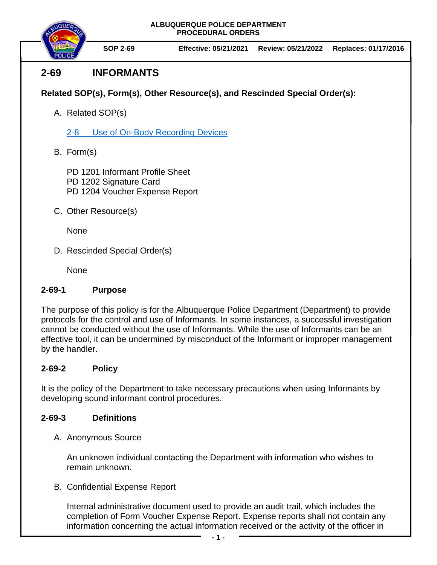**ALBUQUERQUE POLICE DEPARTMENT PROCEDURAL ORDERS**



**SOP 2-69 Effective: 05/21/2021 Review: 05/21/2022 Replaces: 01/17/2016**

# **2-69 INFORMANTS**

**Related SOP(s), Form(s), Other Resource(s), and Rescinded Special Order(s):**

A. Related SOP(s)

2-8 [Use of On-Body Recording Devices](https://powerdms.com/docs/1137)

B. Form(s)

PD 1201 Informant Profile Sheet PD 1202 Signature Card PD 1204 Voucher Expense Report

C. Other Resource(s)

None

D. Rescinded Special Order(s)

None

### **2-69-1 Purpose**

The purpose of this policy is for the Albuquerque Police Department (Department) to provide protocols for the control and use of Informants. In some instances, a successful investigation cannot be conducted without the use of Informants. While the use of Informants can be an effective tool, it can be undermined by misconduct of the Informant or improper management by the handler.

## **2-69-2 Policy**

It is the policy of the Department to take necessary precautions when using Informants by developing sound informant control procedures.

### **2-69-3 Definitions**

A. Anonymous Source

An unknown individual contacting the Department with information who wishes to remain unknown.

B. Confidential Expense Report

Internal administrative document used to provide an audit trail, which includes the completion of Form Voucher Expense Report. Expense reports shall not contain any information concerning the actual information received or the activity of the officer in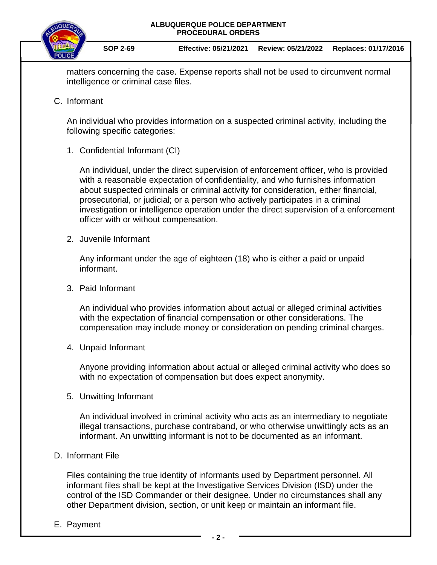

matters concerning the case. Expense reports shall not be used to circumvent normal intelligence or criminal case files.

C. Informant

An individual who provides information on a suspected criminal activity, including the following specific categories:

1. Confidential Informant (CI)

An individual, under the direct supervision of enforcement officer, who is provided with a reasonable expectation of confidentiality, and who furnishes information about suspected criminals or criminal activity for consideration, either financial, prosecutorial, or judicial; or a person who actively participates in a criminal investigation or intelligence operation under the direct supervision of a enforcement officer with or without compensation.

2. Juvenile Informant

Any informant under the age of eighteen (18) who is either a paid or unpaid informant.

3. Paid Informant

An individual who provides information about actual or alleged criminal activities with the expectation of financial compensation or other considerations. The compensation may include money or consideration on pending criminal charges.

4. Unpaid Informant

Anyone providing information about actual or alleged criminal activity who does so with no expectation of compensation but does expect anonymity.

5. Unwitting Informant

An individual involved in criminal activity who acts as an intermediary to negotiate illegal transactions, purchase contraband, or who otherwise unwittingly acts as an informant. An unwitting informant is not to be documented as an informant.

D. Informant File

Files containing the true identity of informants used by Department personnel. All informant files shall be kept at the Investigative Services Division (ISD) under the control of the ISD Commander or their designee. Under no circumstances shall any other Department division, section, or unit keep or maintain an informant file.

E. Payment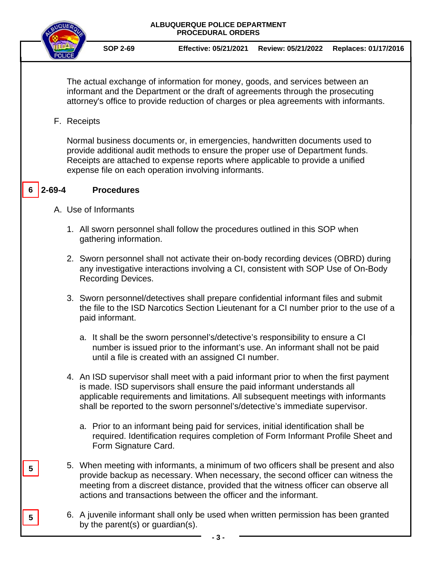#### **ALBUQUERQUE POLICE DEPARTMENT PROCEDURAL ORDERS**



**SOP 2-69 Effective: 05/21/2021 Review: 05/21/2022 Replaces: 01/17/2016**

The actual exchange of information for money, goods, and services between an informant and the Department or the draft of agreements through the prosecuting attorney's office to provide reduction of charges or plea agreements with informants.

F. Receipts

Normal business documents or, in emergencies, handwritten documents used to provide additional audit methods to ensure the proper use of Department funds. Receipts are attached to expense reports where applicable to provide a unified expense file on each operation involving informants.

#### **2-69-4 Procedures 6**

**5**

**5**

- A. Use of Informants
	- 1. All sworn personnel shall follow the procedures outlined in this SOP when gathering information.
	- 2. Sworn personnel shall not activate their on-body recording devices (OBRD) during any investigative interactions involving a CI, consistent with SOP Use of On-Body Recording Devices.
	- 3. Sworn personnel/detectives shall prepare confidential informant files and submit the file to the ISD Narcotics Section Lieutenant for a CI number prior to the use of a paid informant.
		- a. It shall be the sworn personnel's/detective's responsibility to ensure a CI number is issued prior to the informant's use. An informant shall not be paid until a file is created with an assigned CI number.
	- 4. An ISD supervisor shall meet with a paid informant prior to when the first payment is made. ISD supervisors shall ensure the paid informant understands all applicable requirements and limitations. All subsequent meetings with informants shall be reported to the sworn personnel's/detective's immediate supervisor.
		- a. Prior to an informant being paid for services, initial identification shall be required. Identification requires completion of Form Informant Profile Sheet and Form Signature Card.
	- 5. When meeting with informants, a minimum of two officers shall be present and also provide backup as necessary. When necessary, the second officer can witness the meeting from a discreet distance, provided that the witness officer can observe all actions and transactions between the officer and the informant.
	- 6. A juvenile informant shall only be used when written permission has been granted by the parent(s) or guardian(s).